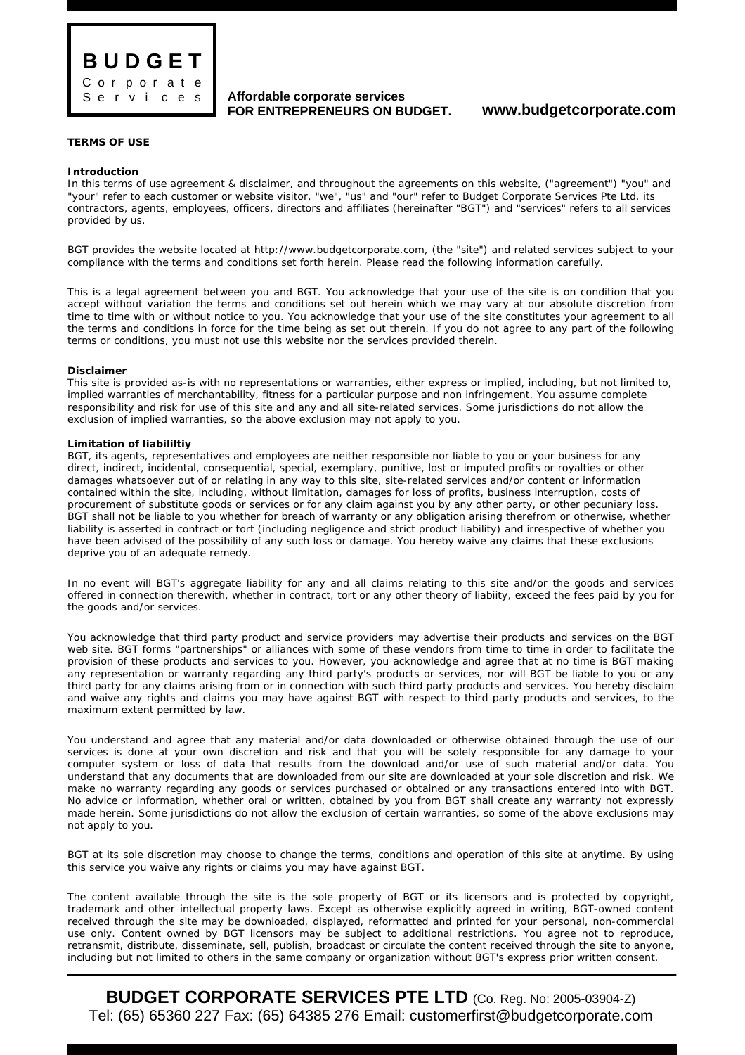

**Affordable corporate services FOR ENTREPRENEURS ON BUDGET. www.budgetcorporate.com**

# **TERMS OF USE**

#### **Introduction**

In this terms of use agreement & disclaimer, and throughout the agreements on this website, ("agreement") "you" and "your" refer to each customer or website visitor, "we", "us" and "our" refer to Budget Corporate Services Pte Ltd, its contractors, agents, employees, officers, directors and affiliates (hereinafter "BGT") and "services" refers to all services provided by us.

BGT provides the website located at http://www.budgetcorporate.com, (the "site") and related services subject to your compliance with the terms and conditions set forth herein. Please read the following information carefully.

This is a legal agreement between you and BGT. You acknowledge that your use of the site is on condition that you accept without variation the terms and conditions set out herein which we may vary at our absolute discretion from time to time with or without notice to you. You acknowledge that your use of the site constitutes your agreement to all the terms and conditions in force for the time being as set out therein. If you do not agree to any part of the following terms or conditions, you must not use this website nor the services provided therein.

#### **Disclaimer**

This site is provided as-is with no representations or warranties, either express or implied, including, but not limited to, implied warranties of merchantability, fitness for a particular purpose and non infringement. You assume complete responsibility and risk for use of this site and any and all site-related services. Some jurisdictions do not allow the exclusion of implied warranties, so the above exclusion may not apply to you.

## **Limitation of liabililtiy**

BGT, its agents, representatives and employees are neither responsible nor liable to you or your business for any direct, indirect, incidental, consequential, special, exemplary, punitive, lost or imputed profits or royalties or other damages whatsoever out of or relating in any way to this site, site-related services and/or content or information contained within the site, including, without limitation, damages for loss of profits, business interruption, costs of procurement of substitute goods or services or for any claim against you by any other party, or other pecuniary loss. BGT shall not be liable to you whether for breach of warranty or any obligation arising therefrom or otherwise, whether liability is asserted in contract or tort (including negligence and strict product liability) and irrespective of whether you have been advised of the possibility of any such loss or damage. You hereby waive any claims that these exclusions deprive you of an adequate remedy.

In no event will BGT's aggregate liability for any and all claims relating to this site and/or the goods and services offered in connection therewith, whether in contract, tort or any other theory of liabiity, exceed the fees paid by you for the goods and/or services.

You acknowledge that third party product and service providers may advertise their products and services on the BGT web site. BGT forms "partnerships" or alliances with some of these vendors from time to time in order to facilitate the provision of these products and services to you. However, you acknowledge and agree that at no time is BGT making any representation or warranty regarding any third party's products or services, nor will BGT be liable to you or any third party for any claims arising from or in connection with such third party products and services. You hereby disclaim and waive any rights and claims you may have against BGT with respect to third party products and services, to the maximum extent permitted by law.

You understand and agree that any material and/or data downloaded or otherwise obtained through the use of our services is done at your own discretion and risk and that you will be solely responsible for any damage to your computer system or loss of data that results from the download and/or use of such material and/or data. You understand that any documents that are downloaded from our site are downloaded at your sole discretion and risk. We make no warranty regarding any goods or services purchased or obtained or any transactions entered into with BGT. No advice or information, whether oral or written, obtained by you from BGT shall create any warranty not expressly made herein. Some jurisdictions do not allow the exclusion of certain warranties, so some of the above exclusions may not apply to you.

BGT at its sole discretion may choose to change the terms, conditions and operation of this site at anytime. By using this service you waive any rights or claims you may have against BGT.

The content available through the site is the sole property of BGT or its licensors and is protected by copyright, trademark and other intellectual property laws. Except as otherwise explicitly agreed in writing, BGT-owned content received through the site may be downloaded, displayed, reformatted and printed for your personal, non-commercial use only. Content owned by BGT licensors may be subject to additional restrictions. You agree not to reproduce, retransmit, distribute, disseminate, sell, publish, broadcast or circulate the content received through the site to anyone, including but not limited to others in the same company or organization without BGT's express prior written consent.

**BUDGET CORPORATE SERVICES PTE LTD** (Co. Reg. No: 2005-03904-Z) Tel: (65) 65360 227 Fax: (65) 64385 276 Email: customerfirst@budgetcorporate.com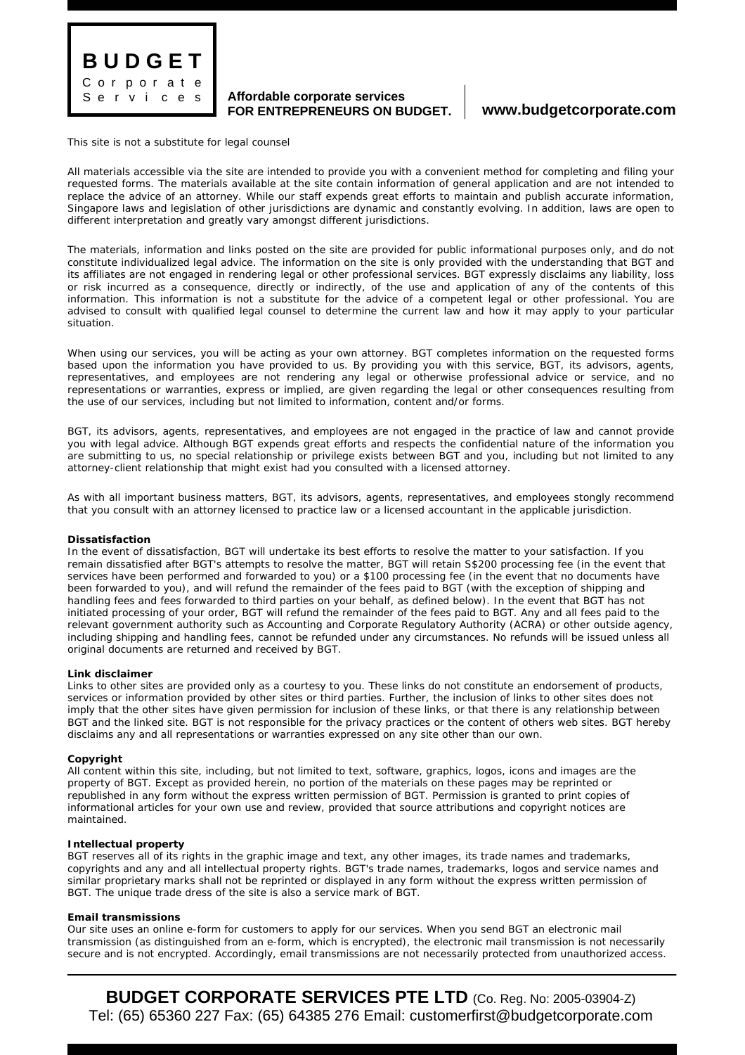

## **Affordable corporate services FOR ENTREPRENEURS ON BUDGET. www.budgetcorporate.com**

This site is not a substitute for legal counsel

All materials accessible via the site are intended to provide you with a convenient method for completing and filing your requested forms. The materials available at the site contain information of general application and are not intended to replace the advice of an attorney. While our staff expends great efforts to maintain and publish accurate information, Singapore laws and legislation of other jurisdictions are dynamic and constantly evolving. In addition, laws are open to different interpretation and greatly vary amongst different jurisdictions.

The materials, information and links posted on the site are provided for public informational purposes only, and do not constitute individualized legal advice. The information on the site is only provided with the understanding that BGT and its affiliates are not engaged in rendering legal or other professional services. BGT expressly disclaims any liability, loss or risk incurred as a consequence, directly or indirectly, of the use and application of any of the contents of this information. This information is not a substitute for the advice of a competent legal or other professional. You are advised to consult with qualified legal counsel to determine the current law and how it may apply to your particular situation.

When using our services, you will be acting as your own attorney. BGT completes information on the requested forms based upon the information you have provided to us. By providing you with this service, BGT, its advisors, agents, representatives, and employees are not rendering any legal or otherwise professional advice or service, and no representations or warranties, express or implied, are given regarding the legal or other consequences resulting from the use of our services, including but not limited to information, content and/or forms.

BGT, its advisors, agents, representatives, and employees are not engaged in the practice of law and cannot provide you with legal advice. Although BGT expends great efforts and respects the confidential nature of the information you are submitting to us, no special relationship or privilege exists between BGT and you, including but not limited to any attorney-client relationship that might exist had you consulted with a licensed attorney.

As with all important business matters, BGT, its advisors, agents, representatives, and employees stongly recommend that you consult with an attorney licensed to practice law or a licensed accountant in the applicable jurisdiction.

### **Dissatisfaction**

In the event of dissatisfaction, BGT will undertake its best efforts to resolve the matter to your satisfaction. If you remain dissatisfied after BGT's attempts to resolve the matter, BGT will retain S\$200 processing fee (in the event that services have been performed and forwarded to you) or a \$100 processing fee (in the event that no documents have been forwarded to you), and will refund the remainder of the fees paid to BGT (with the exception of shipping and handling fees and fees forwarded to third parties on your behalf, as defined below). In the event that BGT has not initiated processing of your order, BGT will refund the remainder of the fees paid to BGT. Any and all fees paid to the relevant government authority such as Accounting and Corporate Regulatory Authority (ACRA) or other outside agency, including shipping and handling fees, cannot be refunded under any circumstances. No refunds will be issued unless all original documents are returned and received by BGT.

### **Link disclaimer**

Links to other sites are provided only as a courtesy to you. These links do not constitute an endorsement of products, services or information provided by other sites or third parties. Further, the inclusion of links to other sites does not imply that the other sites have given permission for inclusion of these links, or that there is any relationship between BGT and the linked site. BGT is not responsible for the privacy practices or the content of others web sites. BGT hereby disclaims any and all representations or warranties expressed on any site other than our own.

## **Copyright**

All content within this site, including, but not limited to text, software, graphics, logos, icons and images are the property of BGT. Except as provided herein, no portion of the materials on these pages may be reprinted or republished in any form without the express written permission of BGT. Permission is granted to print copies of informational articles for your own use and review, provided that source attributions and copyright notices are maintained.

### **Intellectual property**

BGT reserves all of its rights in the graphic image and text, any other images, its trade names and trademarks, copyrights and any and all intellectual property rights. BGT's trade names, trademarks, logos and service names and similar proprietary marks shall not be reprinted or displayed in any form without the express written permission of BGT. The unique trade dress of the site is also a service mark of BGT.

### **Email transmissions**

Our site uses an online e-form for customers to apply for our services. When you send BGT an electronic mail transmission (as distinguished from an e-form, which is encrypted), the electronic mail transmission is not necessarily secure and is not encrypted. Accordingly, email transmissions are not necessarily protected from unauthorized access.

**BUDGET CORPORATE SERVICES PTE LTD** (Co. Reg. No: 2005-03904-Z) Tel: (65) 65360 227 Fax: (65) 64385 276 Email: customerfirst@budgetcorporate.com